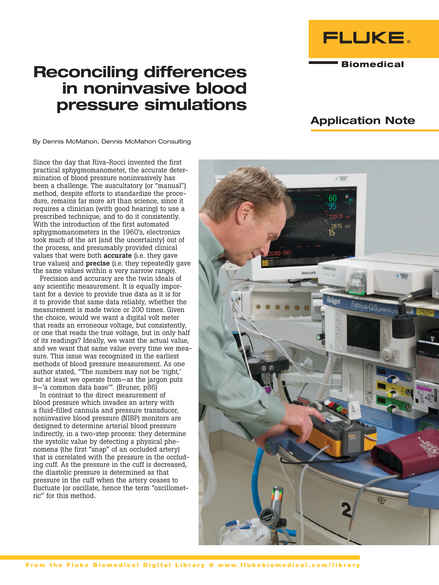

**Biomedical** 

# Reconciling differences in noninvasive blood pressure simulations

## Application Note

By Dennis McMahon, Dennis McMahon Consulting

Since the day that Riva-Rocci invented the first practical sphygmomanometer, the accurate determination of blood pressure noninvasively has been a challenge. The auscultatory (or "manual") method, despite efforts to standardize the procedure, remains far more art than science, since it requires a clinician (with good hearing) to use a prescribed technique, and to do it consistently. With the introduction of the first automated sphygmomanometers in the 1960's, electronics took much of the art (and the uncertainty) out of the process, and presumably provided clinical values that were both **accurate** (i.e. they gave true values) and **precise** (i.e. they repeatedly gave the same values within a very narrow range).

Precision and accuracy are the twin ideals of any scientific measurement. It is equally important for a device to provide true data as it is for it to provide that same data reliably, whether the measurement is made twice or 200 times. Given the choice, would we want a digital volt meter that reads an erroneous voltage, but consistently, or one that reads the true voltage, but in only half of its readings? Ideally, we want the actual value, and we want that same value every time we measure. This issue was recognized in the earliest methods of blood pressure measurement. As one author stated, "The numbers may not be 'right,' but at least we operate from—as the jargon puts it—'a common data base'". (Bruner, p86)

In contrast to the direct measurement of blood pressure which invades an artery with a fluid-filled cannula and pressure transducer, noninvasive blood pressure (NIBP) monitors are designed to determine arterial blood pressure indirectly, in a two-step process: they determine the systolic value by detecting a physical phenomena (the first "snap" of an occluded artery) that is correlated with the pressure in the occluding cuff. As the pressure in the cuff is decreased, the diastolic pressure is determined as that pressure in the cuff when the artery ceases to fluctuate (or oscillate, hence the term "oscillometric" for this method.

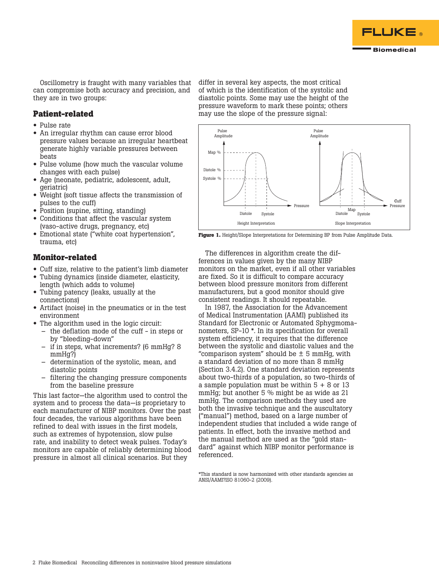

Oscillometry is fraught with many variables that can compromise both accuracy and precision, and they are in two groups:

## **Patient-related**

- Pulse rate
- An irregular rhythm can cause error blood pressure values because an irregular heartbeat generate highly variable pressures between beats
- Pulse volume (how much the vascular volume changes with each pulse)
- Age (neonate, pediatric, adolescent, adult, geriatric)
- Weight (soft tissue affects the transmission of pulses to the cuff)
- Position (supine, sitting, standing)
- Conditions that affect the vascular system (vaso-active drugs, pregnancy, etc)
- Emotional state ("white coat hypertension", trauma, etc)

## **Monitor-related**

- Cuff size, relative to the patient's limb diameter
- Tubing dynamics (inside diameter, elasticity, length (which adds to volume)
- Tubing patency (leaks, usually at the connections)
- Artifact (noise) in the pneumatics or in the test environment
- The algorithm used in the logic circuit:
	- the deflation mode of the cuff in steps or by "bleeding-down"
	- if in steps, what increments? (6 mmHg? 8 mmHg?)
	- determination of the systolic, mean, and diastolic points
	- filtering the changing pressure components from the baseline pressure

This last factor—the algorithm used to control the system and to process the data—is proprietary to each manufacturer of NIBP monitors. Over the past four decades, the various algorithms have been refined to deal with issues in the first models, such as extremes of hypotension, slow pulse rate, and inability to detect weak pulses. Today's monitors are capable of reliably determining blood pressure in almost all clinical scenarios. But they

differ in several key aspects, the most critical of which is the identification of the systolic and diastolic points. Some may use the height of the pressure waveform to mark these points; others may use the slope of the pressure signal:



**Figure 1.** Height/Slope Interpretations for Determining BP from Pulse Amplitude Data.

The differences in algorithm create the differences in values given by the many NIBP monitors on the market, even if all other variables are fixed. So it is difficult to compare accuracy between blood pressure monitors from different manufacturers, but a good monitor should give consistent readings. It should repeatable.

In 1987, the Association for the Advancement of Medical Instrumentation (AAMI) published its Standard for Electronic or Automated Sphygmomanometers, SP-10 \*. In its specification for overall system efficiency, it requires that the difference between the systolic and diastolic values and the "comparison system" should be  $\pm$  5 mmHg, with a standard deviation of no more than 8 mmHg (Section 3.4.2). One standard deviation represents about two-thirds of a population, so two-thirds of a sample population must be within  $5 + 8$  or 13 mmHg; but another 5 % might be as wide as 21 mmHg. The comparison methods they used are both the invasive technique and the auscultatory ("manual") method, based on a large number of independent studies that included a wide range of patients. In effect, both the invasive method and the manual method are used as the "gold standard" against which NIBP monitor performance is referenced.

\*This standard is now harmonized with other standards agencies as ANSI/AAMI?ISO 81060-2 (2009).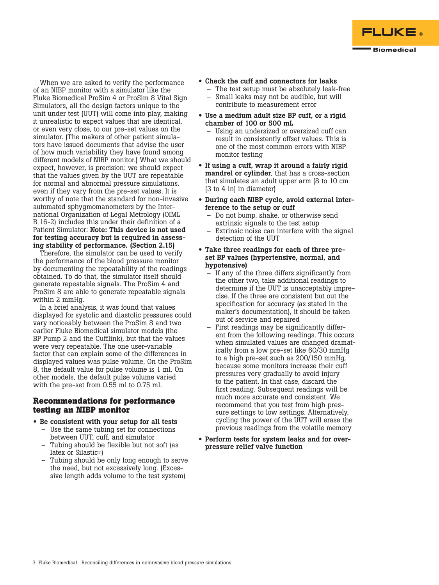

When we are asked to verify the performance of an NIBP monitor with a simulator like the Fluke Biomedical ProSim 4 or ProSim 8 Vital Sign Simulators, all the design factors unique to the unit under test (UUT) will come into play, making it unrealistic to expect values that are identical, or even very close, to our pre-set values on the simulator. (The makers of other patient simulators have issued documents that advise the user of how much variability they have found among different models of NIBP monitor.) What we should expect, however, is precision: we should expect that the values given by the UUT are repeatable for normal and abnormal pressure simulations, even if they vary from the pre-set values. It is worthy of note that the standard for non-invasive automated sphygmomanometers by the International Organization of Legal Metrology (OIML R 16-2) includes this under their definition of a Patient Simulator: Note: This device is not used for testing accuracy but is required in assessing stability of performance. (Section 2.15)

Therefore, the simulator can be used to verify the performance of the blood pressure monitor by documenting the repeatability of the readings obtained. To do that, the simulator itself should generate repeatable signals. The ProSim 4 and ProSim 8 are able to generate repeatable signals within 2 mmHg.

In a brief analysis, it was found that values displayed for systolic and diastolic pressures could vary noticeably between the ProSim 8 and two earlier Fluke Biomedical simulator models (the BP Pump 2 and the Cufflink), but that the values were very repeatable. The one user-variable factor that can explain some of the differences in displayed values was pulse volume. On the ProSim 8, the default value for pulse volume is 1 ml. On other models, the default pulse volume varied with the pre-set from 0.55 ml to 0.75 ml.

## **Recommendations for performance testing an NIBP monitor**

- Be consistent with your setup for all tests
	- Use the same tubing set for connections between UUT, cuff, and simulator
	- Tubing should be flexible but not soft (as latex or Silastic©)
	- Tubing should be only long enough to serve the need, but not excessively long. (Excessive length adds volume to the test system)
- Check the cuff and connectors for leaks
	- The test setup must be absolutely leak-free – Small leaks may not be audible, but will contribute to measurement error
- Use a medium adult size BP cuff, or a rigid chamber of 100 or 500 mL
	- Using an undersized or oversized cuff can result in consistently offset values. This is one of the most common errors with NIBP monitor testing
- If using a cuff, wrap it around a fairly rigid mandrel or cylinder, that has a cross-section that simulates an adult upper arm (8 to 10 cm [3 to 4 in] in diameter)
- During each NIBP cycle, avoid external interference to the setup or cuff
	- Do not bump, shake, or otherwise send extrinsic signals to the test setup
	- Extrinsic noise can interfere with the signal detection of the UUT
- Take three readings for each of three preset BP values (hypertensive, normal, and hypotensive)
	- If any of the three differs significantly from the other two, take additional readings to determine if the UUT is unacceptably imprecise. If the three are consistent but out the specification for accuracy (as stated in the maker's documentation), it should be taken out of service and repaired
	- First readings may be significantly different from the following readings. This occurs when simulated values are changed dramatically from a low pre-set like 60/30 mmHg to a high pre-set such as 200/150 mmHg, because some monitors increase their cuff pressures very gradually to avoid injury to the patient. In that case, discard the first reading. Subsequent readings will be much more accurate and consistent. We recommend that you test from high pressure settings to low settings. Alternatively, cycling the power of the UUT will erase the previous readings from the volatile memory
- Perform tests for system leaks and for overpressure relief valve function